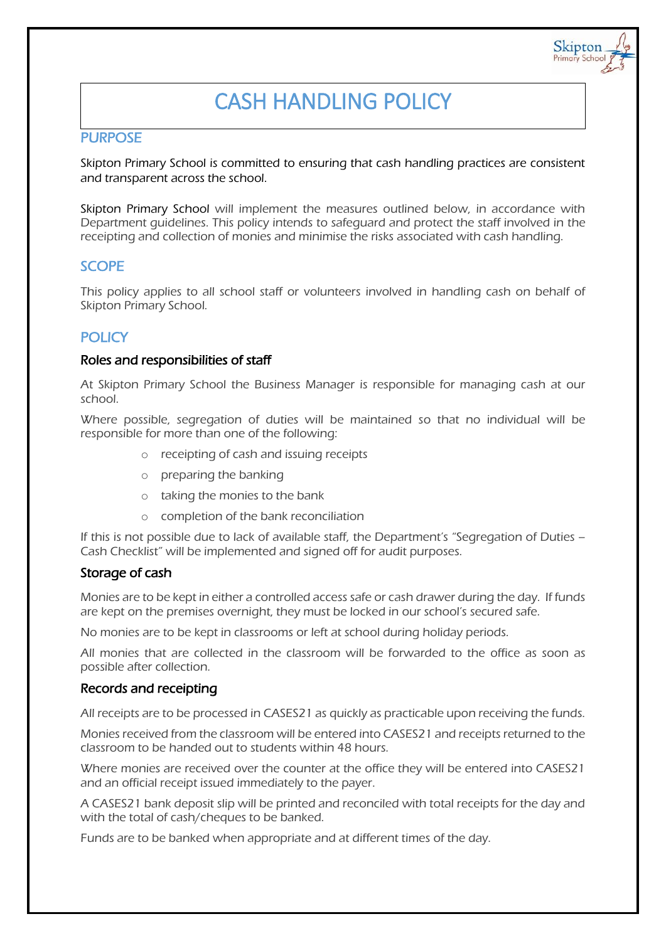# CASH HANDLING POLICY

Skipton Primary Schoo

## **PURPOSE**

Skipton Primary School is committed to ensuring that cash handling practices are consistent and transparent across the school.

Skipton Primary School will implement the measures outlined below, in accordance with Department guidelines. This policy intends to safeguard and protect the staff involved in the receipting and collection of monies and minimise the risks associated with cash handling.

## SCOPE

This policy applies to all school staff or volunteers involved in handling cash on behalf of Skipton Primary School.

## **POLICY**

#### Roles and responsibilities of staff

At Skipton Primary School the Business Manager is responsible for managing cash at our school.

Where possible, segregation of duties will be maintained so that no individual will be responsible for more than one of the following:

- o receipting of cash and issuing receipts
- o preparing the banking
- o taking the monies to the bank
- o completion of the bank reconciliation

If this is not possible due to lack of available staff, the Department's "Segregation of Duties – Cash Checklist" will be implemented and signed off for audit purposes.

#### Storage of cash

Monies are to be kept in either a controlled access safe or cash drawer during the day. If funds are kept on the premises overnight, they must be locked in our school's secured safe.

No monies are to be kept in classrooms or left at school during holiday periods.

All monies that are collected in the classroom will be forwarded to the office as soon as possible after collection.

#### Records and receipting

All receipts are to be processed in CASES21 as quickly as practicable upon receiving the funds.

Monies received from the classroom will be entered into CASES21 and receipts returned to the classroom to be handed out to students within 48 hours.

Where monies are received over the counter at the office they will be entered into CASES21 and an official receipt issued immediately to the payer.

A CASES21 bank deposit slip will be printed and reconciled with total receipts for the day and with the total of cash/cheques to be banked.

Funds are to be banked when appropriate and at different times of the day.